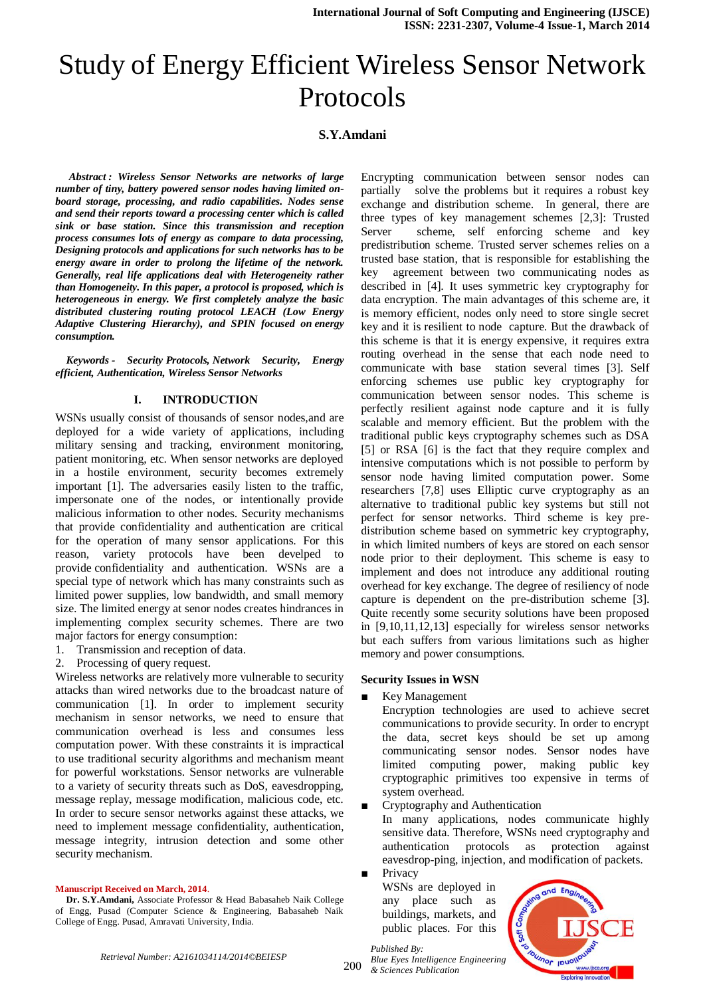# Study of Energy Efficient Wireless Sensor Network Protocols

# **S.Y.Amdani**

*Abstract : Wireless Sensor Networks are networks of large number of tiny, battery powered sensor nodes having limited onboard storage, processing, and radio capabilities. Nodes sense and send their reports toward a processing center which is called sink or base station. Since this transmission and reception process consumes lots of energy as compare to data processing, Designing protocols and applications for such networks has to be energy aware in order to prolong the lifetime of the network. Generally, real life applications deal with Heterogeneity rather than Homogeneity. In this paper, a protocol is proposed, which is heterogeneous in energy. We first completely analyze the basic distributed clustering routing protocol LEACH (Low Energy Adaptive Clustering Hierarchy), and SPIN focused on energy consumption.*

*Keywords - Security Protocols, Network Security, Energy efficient, Authentication, Wireless Sensor Networks* 

## **I. INTRODUCTION**

WSNs usually consist of thousands of sensor nodes,and are deployed for a wide variety of applications, including military sensing and tracking, environment monitoring, patient monitoring, etc. When sensor networks are deployed in a hostile environment, security becomes extremely important [1]. The adversaries easily listen to the traffic, impersonate one of the nodes, or intentionally provide malicious information to other nodes. Security mechanisms that provide confidentiality and authentication are critical for the operation of many sensor applications. For this reason, variety protocols have been develped to provide confidentiality and authentication. WSNs are a special type of network which has many constraints such as limited power supplies, low bandwidth, and small memory size. The limited energy at senor nodes creates hindrances in implementing complex security schemes. There are two major factors for energy consumption:

- 1. Transmission and reception of data.
- 2. Processing of query request.

Wireless networks are relatively more vulnerable to security attacks than wired networks due to the broadcast nature of communication [1]. In order to implement security mechanism in sensor networks, we need to ensure that communication overhead is less and consumes less computation power. With these constraints it is impractical to use traditional security algorithms and mechanism meant for powerful workstations. Sensor networks are vulnerable to a variety of security threats such as DoS, eavesdropping, message replay, message modification, malicious code, etc. In order to secure sensor networks against these attacks, we need to implement message confidentiality, authentication, message integrity, intrusion detection and some other security mechanism.

#### **Manuscript Received on March, 2014**.

**Dr. S.Y.Amdani,** Associate Professor & Head Babasaheb Naik College of Engg, Pusad (Computer Science & Engineering, Babasaheb Naik College of Engg. Pusad, Amravati University, India.

Encrypting communication between sensor nodes can partially solve the problems but it requires a robust key exchange and distribution scheme. In general, there are three types of key management schemes [2,3]: Trusted Server scheme, self enforcing scheme and key predistribution scheme. Trusted server schemes relies on a trusted base station, that is responsible for establishing the key agreement between two communicating nodes as described in [4]. It uses symmetric key cryptography for data encryption. The main advantages of this scheme are, it is memory efficient, nodes only need to store single secret key and it is resilient to node capture. But the drawback of this scheme is that it is energy expensive, it requires extra routing overhead in the sense that each node need to communicate with base station several times [3]. Self enforcing schemes use public key cryptography for communication between sensor nodes. This scheme is perfectly resilient against node capture and it is fully scalable and memory efficient. But the problem with the traditional public keys cryptography schemes such as DSA [5] or RSA [6] is the fact that they require complex and intensive computations which is not possible to perform by sensor node having limited computation power. Some researchers [7,8] uses Elliptic curve cryptography as an alternative to traditional public key systems but still not perfect for sensor networks. Third scheme is key predistribution scheme based on symmetric key cryptography, in which limited numbers of keys are stored on each sensor node prior to their deployment. This scheme is easy to implement and does not introduce any additional routing overhead for key exchange. The degree of resiliency of node capture is dependent on the pre-distribution scheme [3]. Quite recently some security solutions have been proposed in [9,10,11,12,13] especially for wireless sensor networks but each suffers from various limitations such as higher memory and power consumptions.

#### **Security Issues in WSN**

**Key Management** 

Encryption technologies are used to achieve secret communications to provide security. In order to encrypt the data, secret keys should be set up among communicating sensor nodes. Sensor nodes have limited computing power, making public key cryptographic primitives too expensive in terms of system overhead.

Cryptography and Authentication

In many applications, nodes communicate highly sensitive data. Therefore, WSNs need cryptography and authentication protocols as protection against eavesdrop-ping, injection, and modification of packets.

Privacy

WSNs are deployed in any place such as buildings, markets, and public places. For this



200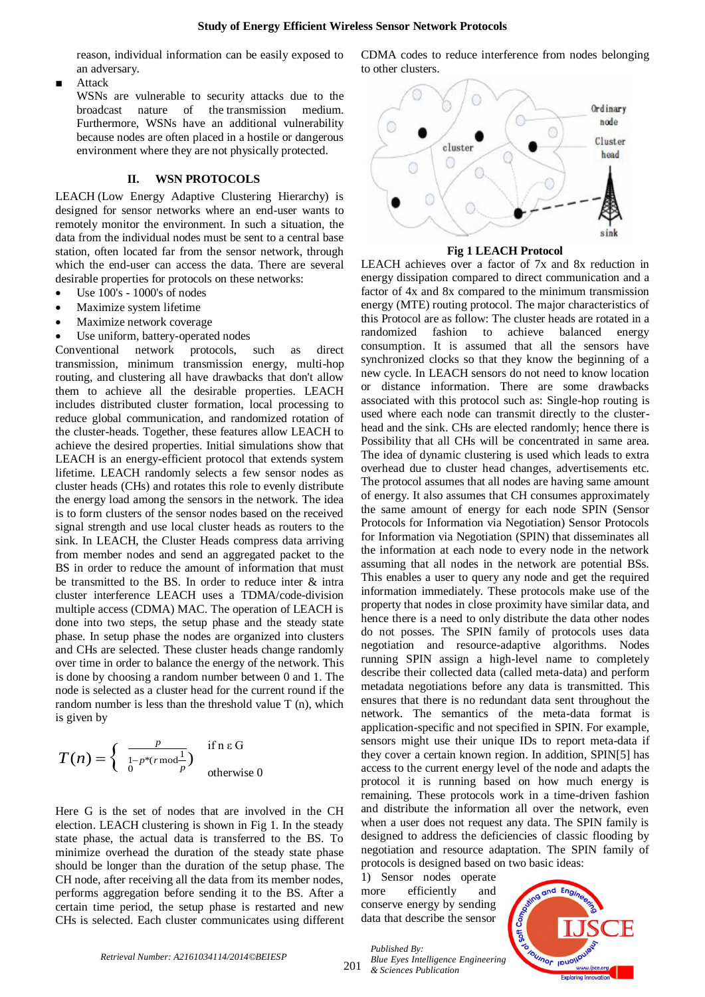reason, individual information can be easily exposed to an adversary.

**Attack** 

WSNs are vulnerable to security attacks due to the broadcast nature of the transmission medium. Furthermore, WSNs have an additional vulnerability because nodes are often placed in a hostile or dangerous environment where they are not physically protected.

#### **II. WSN PROTOCOLS**

LEACH (Low Energy Adaptive Clustering Hierarchy) is designed for sensor networks where an end-user wants to remotely monitor the environment. In such a situation, the data from the individual nodes must be sent to a central base station, often located far from the sensor network, through which the end-user can access the data. There are several desirable properties for protocols on these networks:

- Use 100's 1000's of nodes
- Maximize system lifetime
- Maximize network coverage
- Use uniform, battery-operated nodes

Conventional network protocols, such as direct transmission, minimum transmission energy, multi-hop routing, and clustering all have drawbacks that don't allow them to achieve all the desirable properties. LEACH includes distributed cluster formation, local processing to reduce global communication, and randomized rotation of the cluster-heads. Together, these features allow LEACH to achieve the desired properties. Initial simulations show that LEACH is an energy-efficient protocol that extends system lifetime. LEACH randomly selects a few sensor nodes as cluster heads (CHs) and rotates this role to evenly distribute the energy load among the sensors in the network. The idea is to form clusters of the sensor nodes based on the received signal strength and use local cluster heads as routers to the sink. In LEACH, the Cluster Heads compress data arriving from member nodes and send an aggregated packet to the BS in order to reduce the amount of information that must be transmitted to the BS. In order to reduce inter & intra cluster interference LEACH uses a TDMA/code-division multiple access (CDMA) MAC. The operation of LEACH is done into two steps, the setup phase and the steady state phase. In setup phase the nodes are organized into clusters and CHs are selected. These cluster heads change randomly over time in order to balance the energy of the network. This is done by choosing a random number between 0 and 1. The node is selected as a cluster head for the current round if the random number is less than the threshold value T (n), which is given by

$$
T(n) = \begin{cases} \frac{p}{1-p^{*}(r \mod \frac{1}{p})} & \text{if } n \in G \\ 0 & \text{otherwise } 0 \end{cases}
$$

Here G is the set of nodes that are involved in the CH election. LEACH clustering is shown in Fig 1. In the steady state phase, the actual data is transferred to the BS. To minimize overhead the duration of the steady state phase should be longer than the duration of the setup phase. The CH node, after receiving all the data from its member nodes, performs aggregation before sending it to the BS. After a certain time period, the setup phase is restarted and new CHs is selected. Each cluster communicates using different CDMA codes to reduce interference from nodes belonging to other clusters.



**Fig 1 LEACH Protocol**

LEACH achieves over a factor of 7x and 8x reduction in energy dissipation compared to direct communication and a factor of 4x and 8x compared to the minimum transmission energy (MTE) routing protocol. The major characteristics of this Protocol are as follow: The cluster heads are rotated in a randomized fashion to achieve balanced energy consumption. It is assumed that all the sensors have synchronized clocks so that they know the beginning of a new cycle. In LEACH sensors do not need to know location or distance information. There are some drawbacks associated with this protocol such as: Single-hop routing is used where each node can transmit directly to the clusterhead and the sink. CHs are elected randomly; hence there is Possibility that all CHs will be concentrated in same area. The idea of dynamic clustering is used which leads to extra overhead due to cluster head changes, advertisements etc. The protocol assumes that all nodes are having same amount of energy. It also assumes that CH consumes approximately the same amount of energy for each node SPIN (Sensor Protocols for Information via Negotiation) Sensor Protocols for Information via Negotiation (SPIN) that disseminates all the information at each node to every node in the network assuming that all nodes in the network are potential BSs. This enables a user to query any node and get the required information immediately. These protocols make use of the property that nodes in close proximity have similar data, and hence there is a need to only distribute the data other nodes do not posses. The SPIN family of protocols uses data negotiation and resource-adaptive algorithms. Nodes running SPIN assign a high-level name to completely describe their collected data (called meta-data) and perform metadata negotiations before any data is transmitted. This ensures that there is no redundant data sent throughout the network. The semantics of the meta-data format is application-specific and not specified in SPIN. For example, sensors might use their unique IDs to report meta-data if they cover a certain known region. In addition, SPIN[5] has access to the current energy level of the node and adapts the protocol it is running based on how much energy is remaining. These protocols work in a time-driven fashion and distribute the information all over the network, even when a user does not request any data. The SPIN family is designed to address the deficiencies of classic flooding by negotiation and resource adaptation. The SPIN family of protocols is designed based on two basic ideas:

1) Sensor nodes operate more efficiently and conserve energy by sending data that describe the sensor



201 *& Sciences Publication* 

*Published By:*